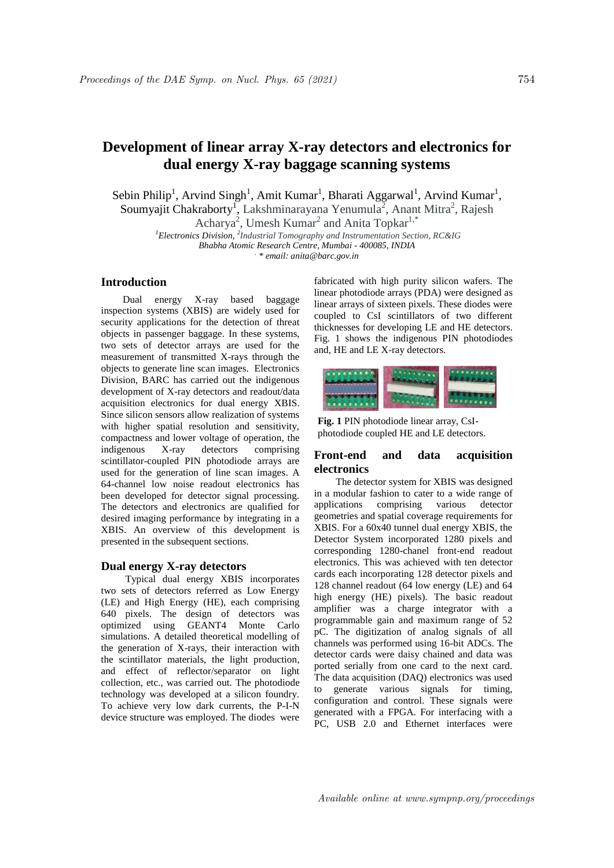# **Development of linear array X-ray detectors and electronics for dual energy X-ray baggage scanning systems**

Sebin Philip<sup>1</sup>, Arvind Singh<sup>1</sup>, Amit Kumar<sup>1</sup>, Bharati Aggarwal<sup>1</sup>, Arvind Kumar<sup>1</sup>, Soumyajit Chakraborty<sup>1</sup>, Lakshminarayana Yenumula<sup>2</sup>, Anant Mitra<sup>2</sup>, Rajesh

Acharya<sup>2</sup>, Umesh Kumar<sup>2</sup> and Anita Topkar<sup>1,\*</sup>

*<sup>1</sup>Electronics Division, <sup>2</sup> Industrial Tomography and Instrumentation Section, RC&IG Bhabha Atomic Research Centre, Mumbai - 400085, INDIA . \* email: anita@barc.gov.in*

### **Introduction**

Dual energy X-ray based baggage inspection systems (XBIS) are widely used for security applications for the detection of threat objects in passenger baggage. In these systems, two sets of detector arrays are used for the measurement of transmitted X-rays through the objects to generate line scan images. Electronics Division, BARC has carried out the indigenous development of X-ray detectors and readout/data acquisition electronics for dual energy XBIS. Since silicon sensors allow realization of systems with higher spatial resolution and sensitivity, compactness and lower voltage of operation, the indigenous X-ray detectors comprising scintillator-coupled PIN photodiode arrays are used for the generation of line scan images. A 64-channel low noise readout electronics has been developed for detector signal processing. The detectors and electronics are qualified for desired imaging performance by integrating in a XBIS. An overview of this development is presented in the subsequent sections.

### **Dual energy X-ray detectors**

Typical dual energy XBIS incorporates two sets of detectors referred as Low Energy (LE) and High Energy (HE), each comprising 640 pixels. The design of detectors was optimized using GEANT4 Monte Carlo simulations. A detailed theoretical modelling of the generation of X-rays, their interaction with the scintillator materials, the light production, and effect of reflector/separator on light collection, etc., was carried out. The photodiode technology was developed at a silicon foundry. To achieve very low dark currents, the P-I-N device structure was employed. The diodes were fabricated with high purity silicon wafers. The linear photodiode arrays (PDA) were designed as linear arrays of sixteen pixels. These diodes were coupled to CsI scintillators of two different thicknesses for developing LE and HE detectors. Fig. 1 shows the indigenous PIN photodiodes and, HE and LE X-ray detectors.



**Fig. 1** PIN photodiode linear array, CsIphotodiode coupled HE and LE detectors.

## **Front-end and data acquisition electronics**

The detector system for XBIS was designed in a modular fashion to cater to a wide range of applications comprising various detector geometries and spatial coverage requirements for XBIS. For a 60x40 tunnel dual energy XBIS, the Detector System incorporated 1280 pixels and corresponding 1280-chanel front-end readout electronics. This was achieved with ten detector cards each incorporating 128 detector pixels and 128 channel readout (64 low energy (LE) and 64 high energy (HE) pixels). The basic readout amplifier was a charge integrator with a programmable gain and maximum range of 52 pC. The digitization of analog signals of all channels was performed using 16-bit ADCs. The detector cards were daisy chained and data was ported serially from one card to the next card. The data acquisition (DAQ) electronics was used to generate various signals for timing, configuration and control. These signals were generated with a FPGA. For interfacing with a PC, USB 2.0 and Ethernet interfaces were